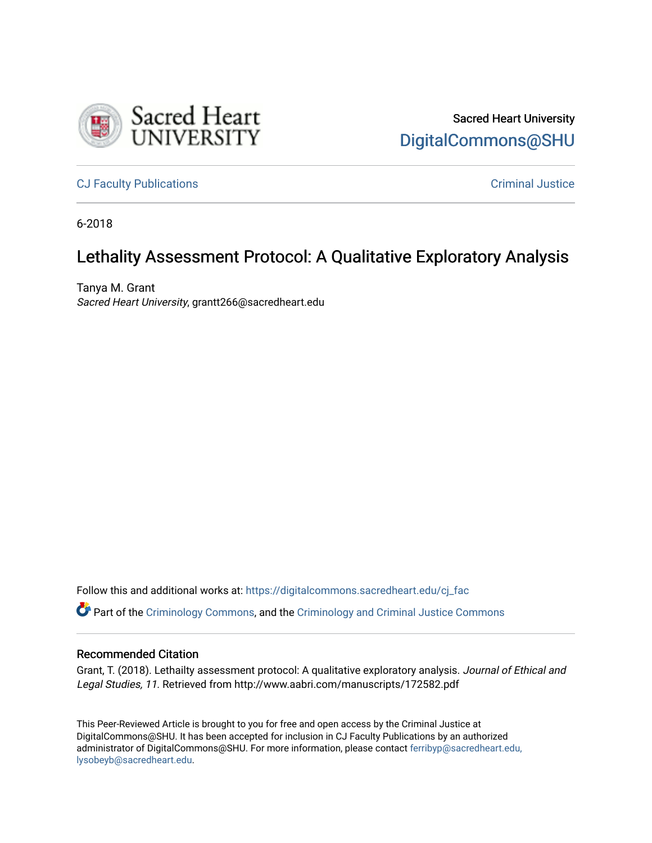

Sacred Heart University [DigitalCommons@SHU](https://digitalcommons.sacredheart.edu/) 

[CJ Faculty Publications](https://digitalcommons.sacredheart.edu/cj_fac) [Criminal Justice](https://digitalcommons.sacredheart.edu/cj) 

6-2018

# Lethality Assessment Protocol: A Qualitative Exploratory Analysis

Tanya M. Grant Sacred Heart University, grantt266@sacredheart.edu

Follow this and additional works at: [https://digitalcommons.sacredheart.edu/cj\\_fac](https://digitalcommons.sacredheart.edu/cj_fac?utm_source=digitalcommons.sacredheart.edu%2Fcj_fac%2F21&utm_medium=PDF&utm_campaign=PDFCoverPages) 

Part of the [Criminology Commons](http://network.bepress.com/hgg/discipline/417?utm_source=digitalcommons.sacredheart.edu%2Fcj_fac%2F21&utm_medium=PDF&utm_campaign=PDFCoverPages), and the [Criminology and Criminal Justice Commons](http://network.bepress.com/hgg/discipline/367?utm_source=digitalcommons.sacredheart.edu%2Fcj_fac%2F21&utm_medium=PDF&utm_campaign=PDFCoverPages)

#### Recommended Citation

Grant, T. (2018). Lethailty assessment protocol: A qualitative exploratory analysis. Journal of Ethical and Legal Studies, 11. Retrieved from http://www.aabri.com/manuscripts/172582.pdf

This Peer-Reviewed Article is brought to you for free and open access by the Criminal Justice at DigitalCommons@SHU. It has been accepted for inclusion in CJ Faculty Publications by an authorized administrator of DigitalCommons@SHU. For more information, please contact [ferribyp@sacredheart.edu,](mailto:ferribyp@sacredheart.edu,%20lysobeyb@sacredheart.edu) [lysobeyb@sacredheart.edu](mailto:ferribyp@sacredheart.edu,%20lysobeyb@sacredheart.edu).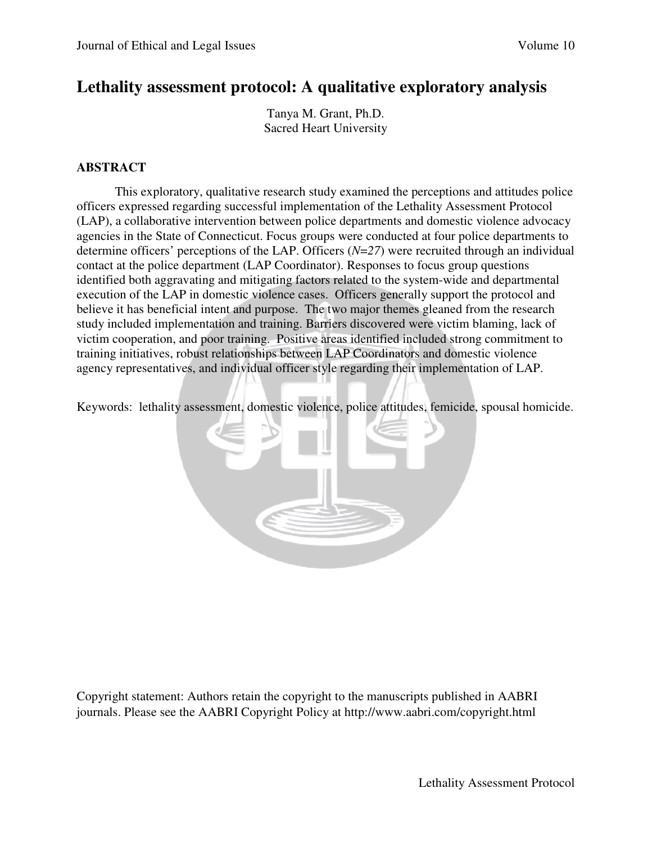# **Lethality assessment protocol: A qualitative exploratory analysis**

Tanya M. Grant, Ph.D. Sacred Heart University

## **ABSTRACT**

This exploratory, qualitative research study examined the perceptions and attitudes police officers expressed regarding successful implementation of the Lethality Assessment Protocol (LAP), a collaborative intervention between police departments and domestic violence advocacy agencies in the State of Connecticut. Focus groups were conducted at four police departments to determine officers' perceptions of the LAP. Officers (*N*=*27*) were recruited through an individual contact at the police department (LAP Coordinator). Responses to focus group questions identified both aggravating and mitigating factors related to the system-wide and departmental execution of the LAP in domestic violence cases. Officers generally support the protocol and believe it has beneficial intent and purpose. The two major themes gleaned from the research study included implementation and training. Barriers discovered were victim blaming, lack of victim cooperation, and poor training. Positive areas identified included strong commitment to training initiatives, robust relationships between LAP Coordinators and domestic violence agency representatives, and individual officer style regarding their implementation of LAP.

Keywords: lethality assessment, domestic violence, police attitudes, femicide, spousal homicide.



Copyright statement: Authors retain the copyright to the manuscripts published in AABRI journals. Please see the AABRI Copyright Policy at http://www.aabri.com/copyright.html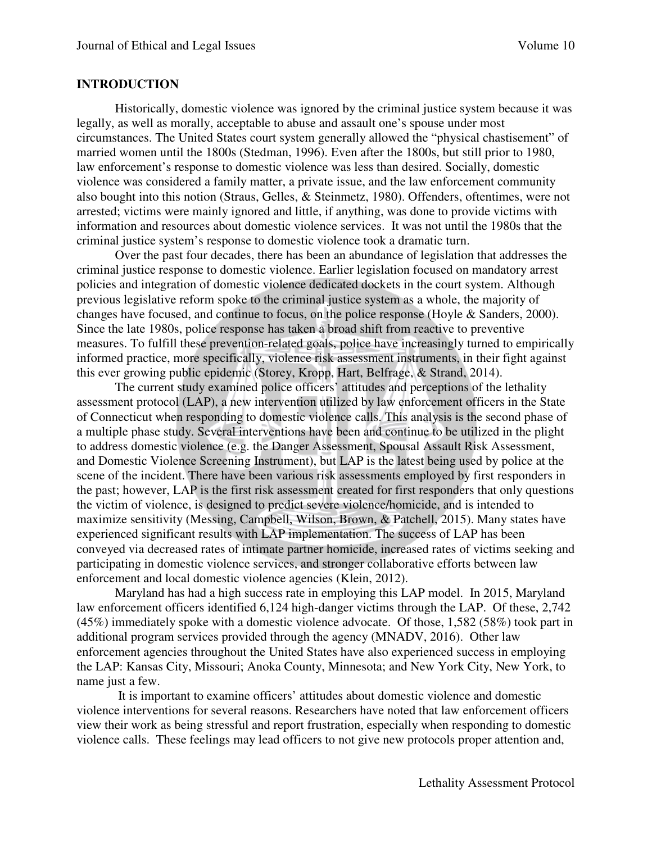#### **INTRODUCTION**

Historically, domestic violence was ignored by the criminal justice system because it was legally, as well as morally, acceptable to abuse and assault one's spouse under most circumstances. The United States court system generally allowed the "physical chastisement" of married women until the 1800s (Stedman, 1996). Even after the 1800s, but still prior to 1980, law enforcement's response to domestic violence was less than desired. Socially, domestic violence was considered a family matter, a private issue, and the law enforcement community also bought into this notion (Straus, Gelles, & Steinmetz, 1980). Offenders, oftentimes, were not arrested; victims were mainly ignored and little, if anything, was done to provide victims with information and resources about domestic violence services. It was not until the 1980s that the criminal justice system's response to domestic violence took a dramatic turn.

Over the past four decades, there has been an abundance of legislation that addresses the criminal justice response to domestic violence. Earlier legislation focused on mandatory arrest policies and integration of domestic violence dedicated dockets in the court system. Although previous legislative reform spoke to the criminal justice system as a whole, the majority of changes have focused, and continue to focus, on the police response (Hoyle & Sanders, 2000). Since the late 1980s, police response has taken a broad shift from reactive to preventive measures. To fulfill these prevention-related goals, police have increasingly turned to empirically informed practice, more specifically, violence risk assessment instruments, in their fight against this ever growing public epidemic (Storey, Kropp, Hart, Belfrage, & Strand, 2014).

The current study examined police officers' attitudes and perceptions of the lethality assessment protocol (LAP), a new intervention utilized by law enforcement officers in the State of Connecticut when responding to domestic violence calls. This analysis is the second phase of a multiple phase study. Several interventions have been and continue to be utilized in the plight to address domestic violence (e.g. the Danger Assessment, Spousal Assault Risk Assessment, and Domestic Violence Screening Instrument), but LAP is the latest being used by police at the scene of the incident. There have been various risk assessments employed by first responders in the past; however, LAP is the first risk assessment created for first responders that only questions the victim of violence, is designed to predict severe violence/homicide, and is intended to maximize sensitivity (Messing, Campbell, Wilson, Brown, & Patchell, 2015). Many states have experienced significant results with LAP implementation. The success of LAP has been conveyed via decreased rates of intimate partner homicide, increased rates of victims seeking and participating in domestic violence services, and stronger collaborative efforts between law enforcement and local domestic violence agencies (Klein, 2012).

Maryland has had a high success rate in employing this LAP model. In 2015, Maryland law enforcement officers identified 6,124 high-danger victims through the LAP. Of these, 2,742 (45%) immediately spoke with a domestic violence advocate. Of those, 1,582 (58%) took part in additional program services provided through the agency (MNADV, 2016). Other law enforcement agencies throughout the United States have also experienced success in employing the LAP: Kansas City, Missouri; Anoka County, Minnesota; and New York City, New York, to name just a few.

 It is important to examine officers' attitudes about domestic violence and domestic violence interventions for several reasons. Researchers have noted that law enforcement officers view their work as being stressful and report frustration, especially when responding to domestic violence calls. These feelings may lead officers to not give new protocols proper attention and,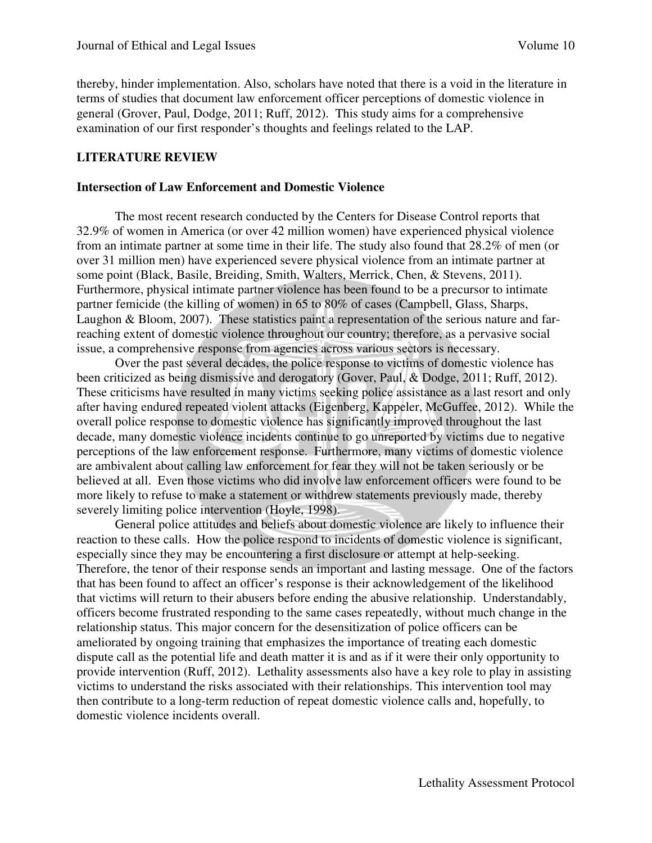thereby, hinder implementation. Also, scholars have noted that there is a void in the literature in terms of studies that document law enforcement officer perceptions of domestic violence in general (Grover, Paul, Dodge, 2011; Ruff, 2012). This study aims for a comprehensive examination of our first responder's thoughts and feelings related to the LAP.

#### **LITERATURE REVIEW**

#### **Intersection of Law Enforcement and Domestic Violence**

The most recent research conducted by the Centers for Disease Control reports that 32.9% of women in America (or over 42 million women) have experienced physical violence from an intimate partner at some time in their life. The study also found that 28.2% of men (or over 31 million men) have experienced severe physical violence from an intimate partner at some point (Black, Basile, Breiding, Smith, Walters, Merrick, Chen, & Stevens, 2011). Furthermore, physical intimate partner violence has been found to be a precursor to intimate partner femicide (the killing of women) in 65 to 80% of cases (Campbell, Glass, Sharps, Laughon & Bloom, 2007). These statistics paint a representation of the serious nature and farreaching extent of domestic violence throughout our country; therefore, as a pervasive social issue, a comprehensive response from agencies across various sectors is necessary.

Over the past several decades, the police response to victims of domestic violence has been criticized as being dismissive and derogatory (Gover, Paul, & Dodge, 2011; Ruff, 2012). These criticisms have resulted in many victims seeking police assistance as a last resort and only after having endured repeated violent attacks (Eigenberg, Kappeler, McGuffee, 2012). While the overall police response to domestic violence has significantly improved throughout the last decade, many domestic violence incidents continue to go unreported by victims due to negative perceptions of the law enforcement response. Furthermore, many victims of domestic violence are ambivalent about calling law enforcement for fear they will not be taken seriously or be believed at all. Even those victims who did involve law enforcement officers were found to be more likely to refuse to make a statement or withdrew statements previously made, thereby severely limiting police intervention (Hoyle, 1998).

 General police attitudes and beliefs about domestic violence are likely to influence their reaction to these calls. How the police respond to incidents of domestic violence is significant, especially since they may be encountering a first disclosure or attempt at help-seeking. Therefore, the tenor of their response sends an important and lasting message. One of the factors that has been found to affect an officer's response is their acknowledgement of the likelihood that victims will return to their abusers before ending the abusive relationship. Understandably, officers become frustrated responding to the same cases repeatedly, without much change in the relationship status. This major concern for the desensitization of police officers can be ameliorated by ongoing training that emphasizes the importance of treating each domestic dispute call as the potential life and death matter it is and as if it were their only opportunity to provide intervention (Ruff, 2012). Lethality assessments also have a key role to play in assisting victims to understand the risks associated with their relationships. This intervention tool may then contribute to a long-term reduction of repeat domestic violence calls and, hopefully, to domestic violence incidents overall.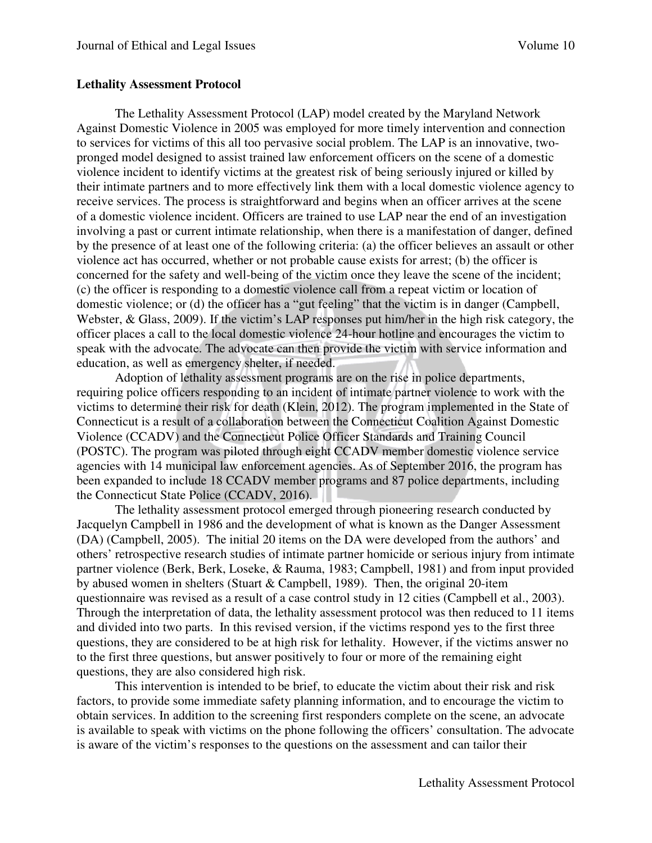#### **Lethality Assessment Protocol**

The Lethality Assessment Protocol (LAP) model created by the Maryland Network Against Domestic Violence in 2005 was employed for more timely intervention and connection to services for victims of this all too pervasive social problem. The LAP is an innovative, twopronged model designed to assist trained law enforcement officers on the scene of a domestic violence incident to identify victims at the greatest risk of being seriously injured or killed by their intimate partners and to more effectively link them with a local domestic violence agency to receive services. The process is straightforward and begins when an officer arrives at the scene of a domestic violence incident. Officers are trained to use LAP near the end of an investigation involving a past or current intimate relationship, when there is a manifestation of danger, defined by the presence of at least one of the following criteria: (a) the officer believes an assault or other violence act has occurred, whether or not probable cause exists for arrest; (b) the officer is concerned for the safety and well-being of the victim once they leave the scene of the incident; (c) the officer is responding to a domestic violence call from a repeat victim or location of domestic violence; or (d) the officer has a "gut feeling" that the victim is in danger (Campbell, Webster, & Glass, 2009). If the victim's LAP responses put him/her in the high risk category, the officer places a call to the local domestic violence 24-hour hotline and encourages the victim to speak with the advocate. The advocate can then provide the victim with service information and education, as well as emergency shelter, if needed.

 Adoption of lethality assessment programs are on the rise in police departments, requiring police officers responding to an incident of intimate partner violence to work with the victims to determine their risk for death (Klein, 2012). The program implemented in the State of Connecticut is a result of a collaboration between the Connecticut Coalition Against Domestic Violence (CCADV) and the Connecticut Police Officer Standards and Training Council (POSTC). The program was piloted through eight CCADV member domestic violence service agencies with 14 municipal law enforcement agencies. As of September 2016, the program has been expanded to include 18 CCADV member programs and 87 police departments, including the Connecticut State Police (CCADV, 2016).

The lethality assessment protocol emerged through pioneering research conducted by Jacquelyn Campbell in 1986 and the development of what is known as the Danger Assessment (DA) (Campbell, 2005). The initial 20 items on the DA were developed from the authors' and others' retrospective research studies of intimate partner homicide or serious injury from intimate partner violence (Berk, Berk, Loseke, & Rauma, 1983; Campbell, 1981) and from input provided by abused women in shelters (Stuart & Campbell, 1989). Then, the original 20-item questionnaire was revised as a result of a case control study in 12 cities (Campbell et al., 2003). Through the interpretation of data, the lethality assessment protocol was then reduced to 11 items and divided into two parts. In this revised version, if the victims respond yes to the first three questions, they are considered to be at high risk for lethality. However, if the victims answer no to the first three questions, but answer positively to four or more of the remaining eight questions, they are also considered high risk.

This intervention is intended to be brief, to educate the victim about their risk and risk factors, to provide some immediate safety planning information, and to encourage the victim to obtain services. In addition to the screening first responders complete on the scene, an advocate is available to speak with victims on the phone following the officers' consultation. The advocate is aware of the victim's responses to the questions on the assessment and can tailor their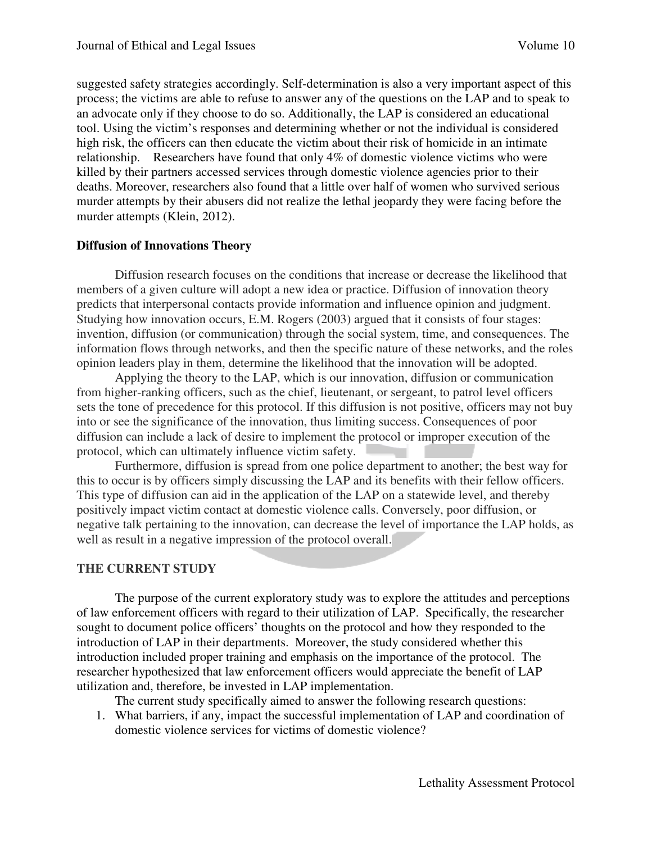suggested safety strategies accordingly. Self-determination is also a very important aspect of this process; the victims are able to refuse to answer any of the questions on the LAP and to speak to an advocate only if they choose to do so. Additionally, the LAP is considered an educational tool. Using the victim's responses and determining whether or not the individual is considered high risk, the officers can then educate the victim about their risk of homicide in an intimate relationship. Researchers have found that only 4% of domestic violence victims who were killed by their partners accessed services through domestic violence agencies prior to their deaths. Moreover, researchers also found that a little over half of women who survived serious murder attempts by their abusers did not realize the lethal jeopardy they were facing before the murder attempts (Klein, 2012).

#### **Diffusion of Innovations Theory**

Diffusion research focuses on the conditions that increase or decrease the likelihood that members of a given culture will adopt a new idea or practice. Diffusion of innovation theory predicts that interpersonal contacts provide information and influence opinion and judgment. Studying how innovation occurs, E.M. Rogers (2003) argued that it consists of four stages: invention, diffusion (or communication) through the social system, time, and consequences. The information flows through networks, and then the specific nature of these networks, and the roles opinion leaders play in them, determine the likelihood that the innovation will be adopted.

Applying the theory to the LAP, which is our innovation, diffusion or communication from higher-ranking officers, such as the chief, lieutenant, or sergeant, to patrol level officers sets the tone of precedence for this protocol. If this diffusion is not positive, officers may not buy into or see the significance of the innovation, thus limiting success. Consequences of poor diffusion can include a lack of desire to implement the protocol or improper execution of the protocol, which can ultimately influence victim safety.

Furthermore, diffusion is spread from one police department to another; the best way for this to occur is by officers simply discussing the LAP and its benefits with their fellow officers. This type of diffusion can aid in the application of the LAP on a statewide level, and thereby positively impact victim contact at domestic violence calls. Conversely, poor diffusion, or negative talk pertaining to the innovation, can decrease the level of importance the LAP holds, as well as result in a negative impression of the protocol overall.

#### **THE CURRENT STUDY**

The purpose of the current exploratory study was to explore the attitudes and perceptions of law enforcement officers with regard to their utilization of LAP. Specifically, the researcher sought to document police officers' thoughts on the protocol and how they responded to the introduction of LAP in their departments. Moreover, the study considered whether this introduction included proper training and emphasis on the importance of the protocol. The researcher hypothesized that law enforcement officers would appreciate the benefit of LAP utilization and, therefore, be invested in LAP implementation.

The current study specifically aimed to answer the following research questions:

1. What barriers, if any, impact the successful implementation of LAP and coordination of domestic violence services for victims of domestic violence?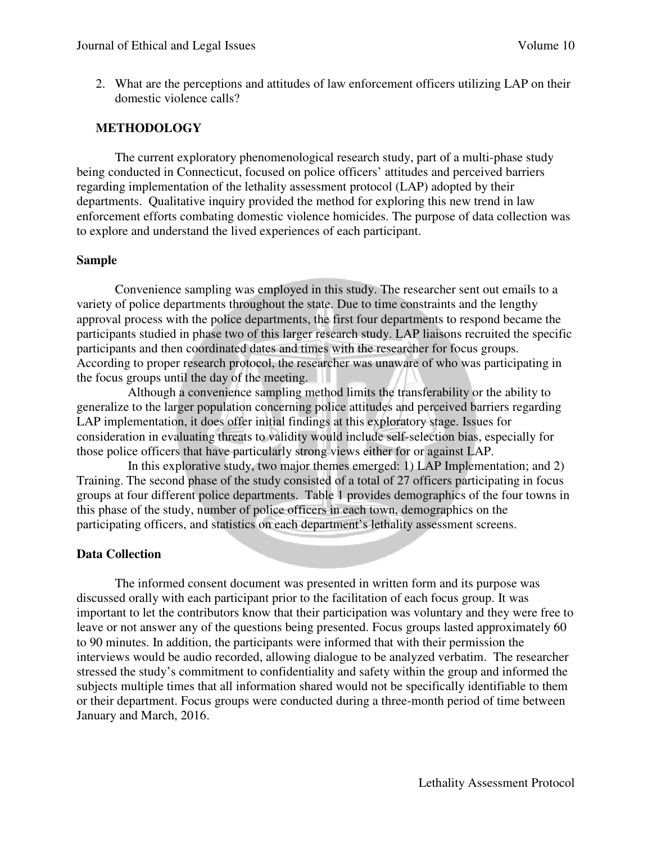2. What are the perceptions and attitudes of law enforcement officers utilizing LAP on their domestic violence calls?

## **METHODOLOGY**

The current exploratory phenomenological research study, part of a multi-phase study being conducted in Connecticut, focused on police officers' attitudes and perceived barriers regarding implementation of the lethality assessment protocol (LAP) adopted by their departments. Qualitative inquiry provided the method for exploring this new trend in law enforcement efforts combating domestic violence homicides. The purpose of data collection was to explore and understand the lived experiences of each participant.

#### **Sample**

Convenience sampling was employed in this study. The researcher sent out emails to a variety of police departments throughout the state. Due to time constraints and the lengthy approval process with the police departments, the first four departments to respond became the participants studied in phase two of this larger research study. LAP liaisons recruited the specific participants and then coordinated dates and times with the researcher for focus groups. According to proper research protocol, the researcher was unaware of who was participating in the focus groups until the day of the meeting.

 Although a convenience sampling method limits the transferability or the ability to generalize to the larger population concerning police attitudes and perceived barriers regarding LAP implementation, it does offer initial findings at this exploratory stage. Issues for consideration in evaluating threats to validity would include self-selection bias, especially for those police officers that have particularly strong views either for or against LAP.

 In this explorative study, two major themes emerged: 1) LAP Implementation; and 2) Training. The second phase of the study consisted of a total of 27 officers participating in focus groups at four different police departments. Table 1 provides demographics of the four towns in this phase of the study, number of police officers in each town, demographics on the participating officers, and statistics on each department's lethality assessment screens.

## **Data Collection**

The informed consent document was presented in written form and its purpose was discussed orally with each participant prior to the facilitation of each focus group. It was important to let the contributors know that their participation was voluntary and they were free to leave or not answer any of the questions being presented. Focus groups lasted approximately 60 to 90 minutes. In addition, the participants were informed that with their permission the interviews would be audio recorded, allowing dialogue to be analyzed verbatim. The researcher stressed the study's commitment to confidentiality and safety within the group and informed the subjects multiple times that all information shared would not be specifically identifiable to them or their department. Focus groups were conducted during a three-month period of time between January and March, 2016.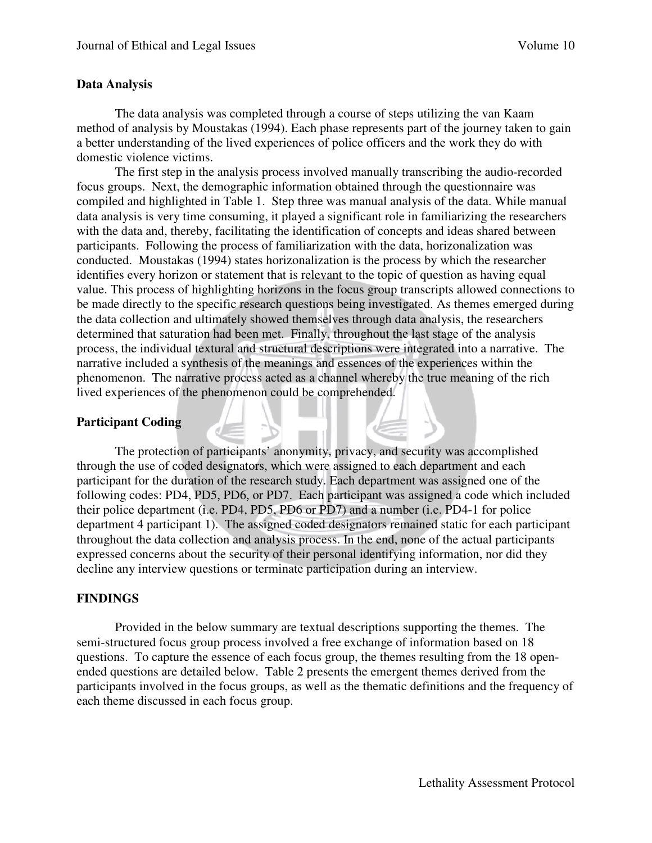## **Data Analysis**

The data analysis was completed through a course of steps utilizing the van Kaam method of analysis by Moustakas (1994). Each phase represents part of the journey taken to gain a better understanding of the lived experiences of police officers and the work they do with domestic violence victims.

 The first step in the analysis process involved manually transcribing the audio-recorded focus groups. Next, the demographic information obtained through the questionnaire was compiled and highlighted in Table 1. Step three was manual analysis of the data. While manual data analysis is very time consuming, it played a significant role in familiarizing the researchers with the data and, thereby, facilitating the identification of concepts and ideas shared between participants. Following the process of familiarization with the data, horizonalization was conducted. Moustakas (1994) states horizonalization is the process by which the researcher identifies every horizon or statement that is relevant to the topic of question as having equal value. This process of highlighting horizons in the focus group transcripts allowed connections to be made directly to the specific research questions being investigated. As themes emerged during the data collection and ultimately showed themselves through data analysis, the researchers determined that saturation had been met. Finally, throughout the last stage of the analysis process, the individual textural and structural descriptions were integrated into a narrative. The narrative included a synthesis of the meanings and essences of the experiences within the phenomenon. The narrative process acted as a channel whereby the true meaning of the rich lived experiences of the phenomenon could be comprehended.

## **Participant Coding**

The protection of participants' anonymity, privacy, and security was accomplished through the use of coded designators, which were assigned to each department and each participant for the duration of the research study. Each department was assigned one of the following codes: PD4, PD5, PD6, or PD7. Each participant was assigned a code which included their police department (i.e. PD4, PD5, PD6 or PD7) and a number (i.e. PD4-1 for police department 4 participant 1). The assigned coded designators remained static for each participant throughout the data collection and analysis process. In the end, none of the actual participants expressed concerns about the security of their personal identifying information, nor did they decline any interview questions or terminate participation during an interview.

## **FINDINGS**

Provided in the below summary are textual descriptions supporting the themes. The semi-structured focus group process involved a free exchange of information based on 18 questions. To capture the essence of each focus group, the themes resulting from the 18 openended questions are detailed below. Table 2 presents the emergent themes derived from the participants involved in the focus groups, as well as the thematic definitions and the frequency of each theme discussed in each focus group.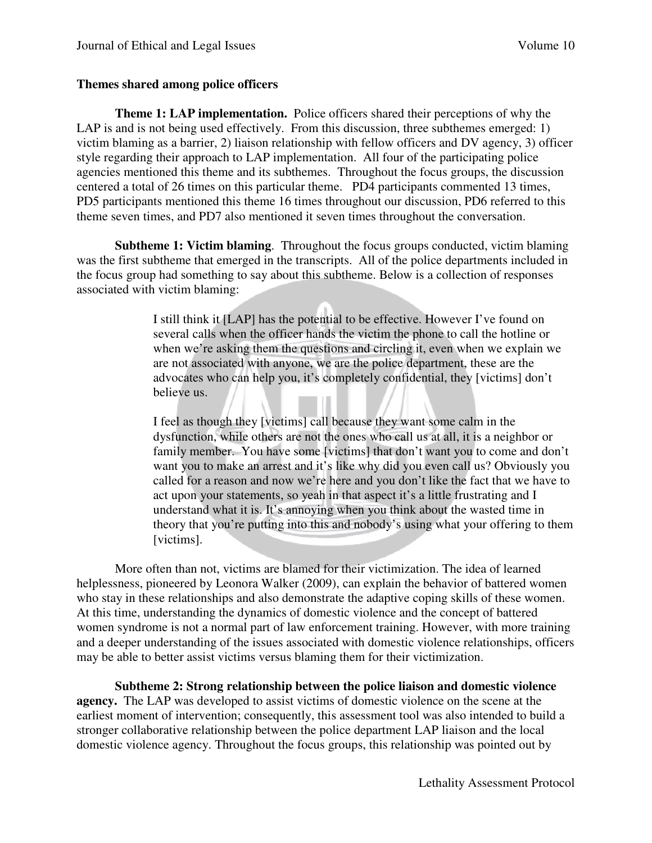## **Themes shared among police officers**

**Theme 1: LAP implementation.** Police officers shared their perceptions of why the LAP is and is not being used effectively. From this discussion, three subthemes emerged: 1) victim blaming as a barrier, 2) liaison relationship with fellow officers and DV agency, 3) officer style regarding their approach to LAP implementation. All four of the participating police agencies mentioned this theme and its subthemes. Throughout the focus groups, the discussion centered a total of 26 times on this particular theme. PD4 participants commented 13 times, PD5 participants mentioned this theme 16 times throughout our discussion, PD6 referred to this theme seven times, and PD7 also mentioned it seven times throughout the conversation.

**Subtheme 1: Victim blaming**. Throughout the focus groups conducted, victim blaming was the first subtheme that emerged in the transcripts. All of the police departments included in the focus group had something to say about this subtheme. Below is a collection of responses associated with victim blaming:

> I still think it [LAP] has the potential to be effective. However I've found on several calls when the officer hands the victim the phone to call the hotline or when we're asking them the questions and circling it, even when we explain we are not associated with anyone, we are the police department, these are the advocates who can help you, it's completely confidential, they [victims] don't believe us.

I feel as though they [victims] call because they want some calm in the dysfunction, while others are not the ones who call us at all, it is a neighbor or family member. You have some [victims] that don't want you to come and don't want you to make an arrest and it's like why did you even call us? Obviously you called for a reason and now we're here and you don't like the fact that we have to act upon your statements, so yeah in that aspect it's a little frustrating and I understand what it is. It's annoying when you think about the wasted time in theory that you're putting into this and nobody's using what your offering to them [victims].

More often than not, victims are blamed for their victimization. The idea of learned helplessness, pioneered by Leonora Walker (2009), can explain the behavior of battered women who stay in these relationships and also demonstrate the adaptive coping skills of these women. At this time, understanding the dynamics of domestic violence and the concept of battered women syndrome is not a normal part of law enforcement training. However, with more training and a deeper understanding of the issues associated with domestic violence relationships, officers may be able to better assist victims versus blaming them for their victimization.

**Subtheme 2: Strong relationship between the police liaison and domestic violence agency.** The LAP was developed to assist victims of domestic violence on the scene at the earliest moment of intervention; consequently, this assessment tool was also intended to build a stronger collaborative relationship between the police department LAP liaison and the local domestic violence agency. Throughout the focus groups, this relationship was pointed out by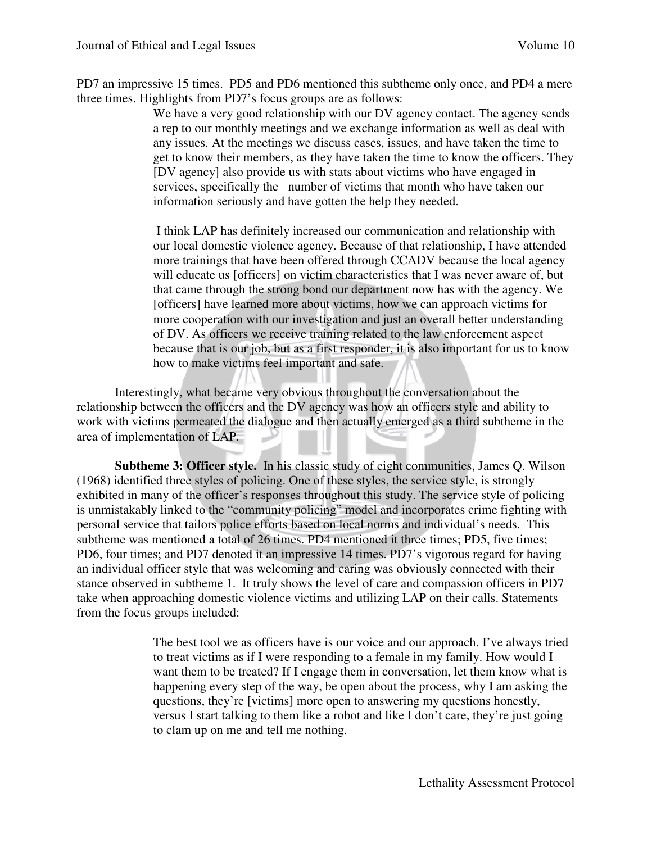PD7 an impressive 15 times. PD5 and PD6 mentioned this subtheme only once, and PD4 a mere three times. Highlights from PD7's focus groups are as follows:

> We have a very good relationship with our DV agency contact. The agency sends a rep to our monthly meetings and we exchange information as well as deal with any issues. At the meetings we discuss cases, issues, and have taken the time to get to know their members, as they have taken the time to know the officers. They [DV agency] also provide us with stats about victims who have engaged in services, specifically the number of victims that month who have taken our information seriously and have gotten the help they needed.

I think LAP has definitely increased our communication and relationship with our local domestic violence agency. Because of that relationship, I have attended more trainings that have been offered through CCADV because the local agency will educate us [officers] on victim characteristics that I was never aware of, but that came through the strong bond our department now has with the agency. We [officers] have learned more about victims, how we can approach victims for more cooperation with our investigation and just an overall better understanding of DV. As officers we receive training related to the law enforcement aspect because that is our job, but as a first responder, it is also important for us to know how to make victims feel important and safe.

Interestingly, what became very obvious throughout the conversation about the relationship between the officers and the DV agency was how an officers style and ability to work with victims permeated the dialogue and then actually emerged as a third subtheme in the area of implementation of LAP.

**Subtheme 3: Officer style.** In his classic study of eight communities, James Q. Wilson (1968) identified three styles of policing. One of these styles, the service style, is strongly exhibited in many of the officer's responses throughout this study. The service style of policing is unmistakably linked to the "community policing" model and incorporates crime fighting with personal service that tailors police efforts based on local norms and individual's needs. This subtheme was mentioned a total of 26 times. PD4 mentioned it three times; PD5, five times; PD6, four times; and PD7 denoted it an impressive 14 times. PD7's vigorous regard for having an individual officer style that was welcoming and caring was obviously connected with their stance observed in subtheme 1. It truly shows the level of care and compassion officers in PD7 take when approaching domestic violence victims and utilizing LAP on their calls. Statements from the focus groups included:

> The best tool we as officers have is our voice and our approach. I've always tried to treat victims as if I were responding to a female in my family. How would I want them to be treated? If I engage them in conversation, let them know what is happening every step of the way, be open about the process, why I am asking the questions, they're [victims] more open to answering my questions honestly, versus I start talking to them like a robot and like I don't care, they're just going to clam up on me and tell me nothing.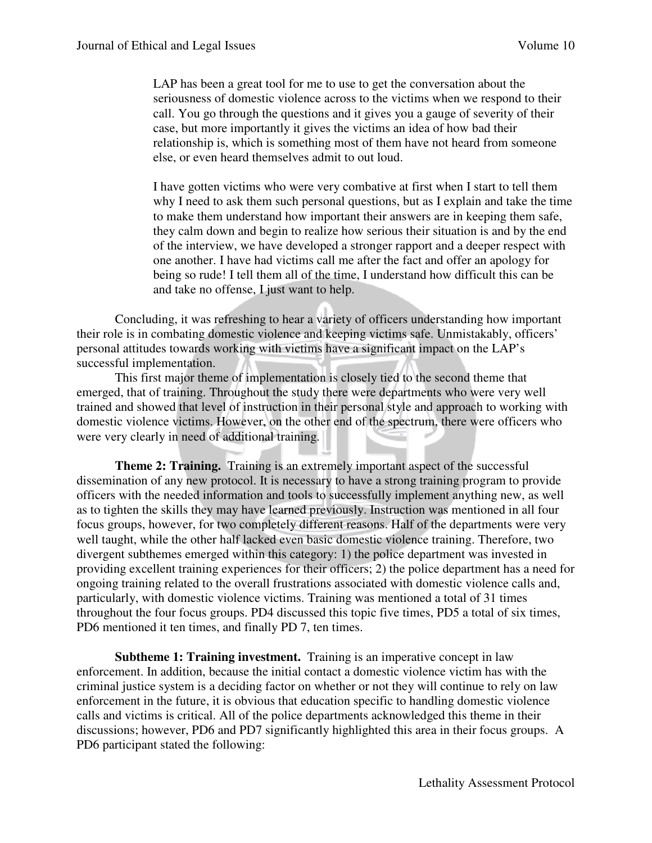LAP has been a great tool for me to use to get the conversation about the seriousness of domestic violence across to the victims when we respond to their call. You go through the questions and it gives you a gauge of severity of their case, but more importantly it gives the victims an idea of how bad their relationship is, which is something most of them have not heard from someone else, or even heard themselves admit to out loud.

I have gotten victims who were very combative at first when I start to tell them why I need to ask them such personal questions, but as I explain and take the time to make them understand how important their answers are in keeping them safe, they calm down and begin to realize how serious their situation is and by the end of the interview, we have developed a stronger rapport and a deeper respect with one another. I have had victims call me after the fact and offer an apology for being so rude! I tell them all of the time, I understand how difficult this can be and take no offense, I just want to help.

Concluding, it was refreshing to hear a variety of officers understanding how important their role is in combating domestic violence and keeping victims safe. Unmistakably, officers' personal attitudes towards working with victims have a significant impact on the LAP's successful implementation.

This first major theme of implementation is closely tied to the second theme that emerged, that of training. Throughout the study there were departments who were very well trained and showed that level of instruction in their personal style and approach to working with domestic violence victims. However, on the other end of the spectrum, there were officers who were very clearly in need of additional training.

**Theme 2: Training.** Training is an extremely important aspect of the successful dissemination of any new protocol. It is necessary to have a strong training program to provide officers with the needed information and tools to successfully implement anything new, as well as to tighten the skills they may have learned previously. Instruction was mentioned in all four focus groups, however, for two completely different reasons. Half of the departments were very well taught, while the other half lacked even basic domestic violence training. Therefore, two divergent subthemes emerged within this category: 1) the police department was invested in providing excellent training experiences for their officers; 2) the police department has a need for ongoing training related to the overall frustrations associated with domestic violence calls and, particularly, with domestic violence victims. Training was mentioned a total of 31 times throughout the four focus groups. PD4 discussed this topic five times, PD5 a total of six times, PD6 mentioned it ten times, and finally PD 7, ten times.

**Subtheme 1: Training investment.** Training is an imperative concept in law enforcement. In addition, because the initial contact a domestic violence victim has with the criminal justice system is a deciding factor on whether or not they will continue to rely on law enforcement in the future, it is obvious that education specific to handling domestic violence calls and victims is critical. All of the police departments acknowledged this theme in their discussions; however, PD6 and PD7 significantly highlighted this area in their focus groups. A PD6 participant stated the following: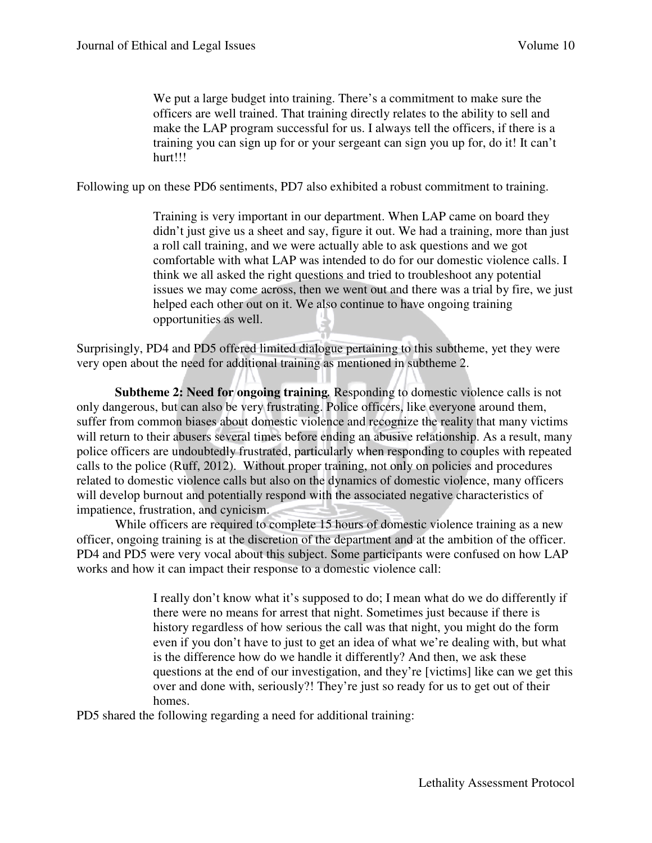We put a large budget into training. There's a commitment to make sure the officers are well trained. That training directly relates to the ability to sell and make the LAP program successful for us. I always tell the officers, if there is a training you can sign up for or your sergeant can sign you up for, do it! It can't hurt!!!

Following up on these PD6 sentiments, PD7 also exhibited a robust commitment to training.

Training is very important in our department. When LAP came on board they didn't just give us a sheet and say, figure it out. We had a training, more than just a roll call training, and we were actually able to ask questions and we got comfortable with what LAP was intended to do for our domestic violence calls. I think we all asked the right questions and tried to troubleshoot any potential issues we may come across, then we went out and there was a trial by fire, we just helped each other out on it. We also continue to have ongoing training opportunities as well.

Surprisingly, PD4 and PD5 offered limited dialogue pertaining to this subtheme, yet they were very open about the need for additional training as mentioned in subtheme 2.

**Subtheme 2: Need for ongoing training***.* Responding to domestic violence calls is not only dangerous, but can also be very frustrating. Police officers, like everyone around them, suffer from common biases about domestic violence and recognize the reality that many victims will return to their abusers several times before ending an abusive relationship. As a result, many police officers are undoubtedly frustrated, particularly when responding to couples with repeated calls to the police (Ruff, 2012). Without proper training, not only on policies and procedures related to domestic violence calls but also on the dynamics of domestic violence, many officers will develop burnout and potentially respond with the associated negative characteristics of impatience, frustration, and cynicism.

While officers are required to complete 15 hours of domestic violence training as a new officer, ongoing training is at the discretion of the department and at the ambition of the officer. PD4 and PD5 were very vocal about this subject. Some participants were confused on how LAP works and how it can impact their response to a domestic violence call:

> I really don't know what it's supposed to do; I mean what do we do differently if there were no means for arrest that night. Sometimes just because if there is history regardless of how serious the call was that night, you might do the form even if you don't have to just to get an idea of what we're dealing with, but what is the difference how do we handle it differently? And then, we ask these questions at the end of our investigation, and they're [victims] like can we get this over and done with, seriously?! They're just so ready for us to get out of their homes.

PD5 shared the following regarding a need for additional training: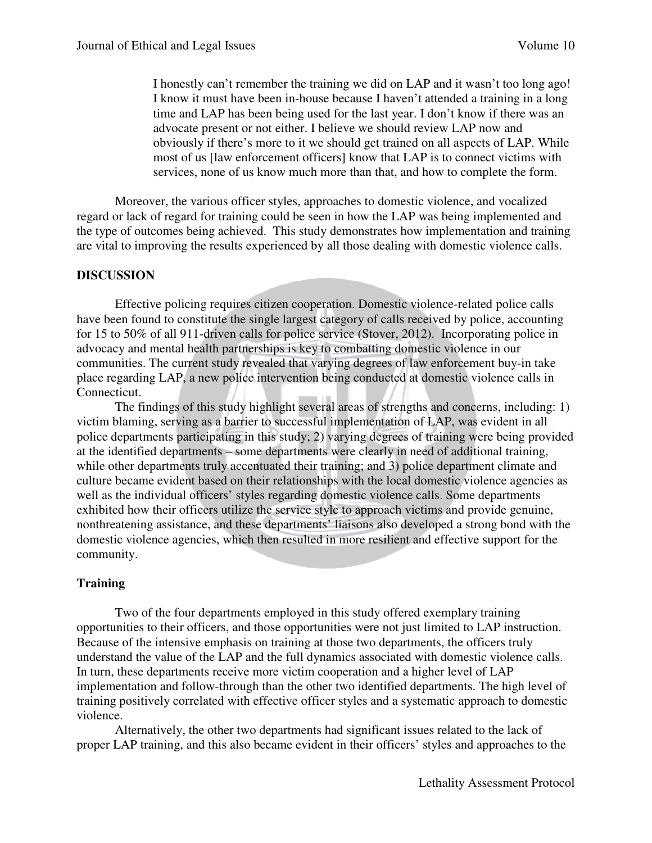I honestly can't remember the training we did on LAP and it wasn't too long ago! I know it must have been in-house because I haven't attended a training in a long time and LAP has been being used for the last year. I don't know if there was an advocate present or not either. I believe we should review LAP now and obviously if there's more to it we should get trained on all aspects of LAP. While most of us [law enforcement officers] know that LAP is to connect victims with services, none of us know much more than that, and how to complete the form.

Moreover, the various officer styles, approaches to domestic violence, and vocalized regard or lack of regard for training could be seen in how the LAP was being implemented and the type of outcomes being achieved. This study demonstrates how implementation and training are vital to improving the results experienced by all those dealing with domestic violence calls.

#### **DISCUSSION**

Effective policing requires citizen cooperation. Domestic violence-related police calls have been found to constitute the single largest category of calls received by police, accounting for 15 to 50% of all 911-driven calls for police service (Stover, 2012). Incorporating police in advocacy and mental health partnerships is key to combatting domestic violence in our communities. The current study revealed that varying degrees of law enforcement buy-in take place regarding LAP, a new police intervention being conducted at domestic violence calls in Connecticut.

 The findings of this study highlight several areas of strengths and concerns, including: 1) victim blaming, serving as a barrier to successful implementation of LAP, was evident in all police departments participating in this study; 2) varying degrees of training were being provided at the identified departments – some departments were clearly in need of additional training, while other departments truly accentuated their training; and 3) police department climate and culture became evident based on their relationships with the local domestic violence agencies as well as the individual officers' styles regarding domestic violence calls. Some departments exhibited how their officers utilize the service style to approach victims and provide genuine, nonthreatening assistance, and these departments' liaisons also developed a strong bond with the domestic violence agencies, which then resulted in more resilient and effective support for the community.

#### **Training**

Two of the four departments employed in this study offered exemplary training opportunities to their officers, and those opportunities were not just limited to LAP instruction. Because of the intensive emphasis on training at those two departments, the officers truly understand the value of the LAP and the full dynamics associated with domestic violence calls. In turn, these departments receive more victim cooperation and a higher level of LAP implementation and follow-through than the other two identified departments. The high level of training positively correlated with effective officer styles and a systematic approach to domestic violence.

 Alternatively, the other two departments had significant issues related to the lack of proper LAP training, and this also became evident in their officers' styles and approaches to the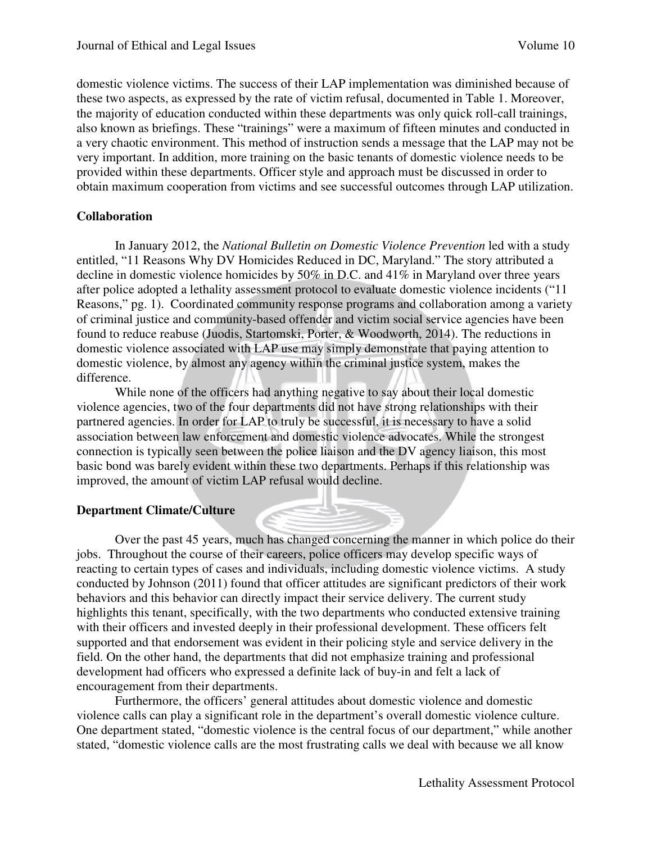domestic violence victims. The success of their LAP implementation was diminished because of these two aspects, as expressed by the rate of victim refusal, documented in Table 1. Moreover, the majority of education conducted within these departments was only quick roll-call trainings, also known as briefings. These "trainings" were a maximum of fifteen minutes and conducted in a very chaotic environment. This method of instruction sends a message that the LAP may not be very important. In addition, more training on the basic tenants of domestic violence needs to be provided within these departments. Officer style and approach must be discussed in order to obtain maximum cooperation from victims and see successful outcomes through LAP utilization.

## **Collaboration**

In January 2012, the *National Bulletin on Domestic Violence Prevention* led with a study entitled, "11 Reasons Why DV Homicides Reduced in DC, Maryland." The story attributed a decline in domestic violence homicides by 50% in D.C. and 41% in Maryland over three years after police adopted a lethality assessment protocol to evaluate domestic violence incidents ("11 Reasons," pg. 1). Coordinated community response programs and collaboration among a variety of criminal justice and community-based offender and victim social service agencies have been found to reduce reabuse (Juodis, Startomski, Porter, & Woodworth, 2014). The reductions in domestic violence associated with LAP use may simply demonstrate that paying attention to domestic violence, by almost any agency within the criminal justice system, makes the difference.

 While none of the officers had anything negative to say about their local domestic violence agencies, two of the four departments did not have strong relationships with their partnered agencies. In order for LAP to truly be successful, it is necessary to have a solid association between law enforcement and domestic violence advocates. While the strongest connection is typically seen between the police liaison and the DV agency liaison, this most basic bond was barely evident within these two departments. Perhaps if this relationship was improved, the amount of victim LAP refusal would decline.

## **Department Climate/Culture**

Over the past 45 years, much has changed concerning the manner in which police do their jobs. Throughout the course of their careers, police officers may develop specific ways of reacting to certain types of cases and individuals, including domestic violence victims. A study conducted by Johnson (2011) found that officer attitudes are significant predictors of their work behaviors and this behavior can directly impact their service delivery. The current study highlights this tenant, specifically, with the two departments who conducted extensive training with their officers and invested deeply in their professional development. These officers felt supported and that endorsement was evident in their policing style and service delivery in the field. On the other hand, the departments that did not emphasize training and professional development had officers who expressed a definite lack of buy-in and felt a lack of encouragement from their departments.

 Furthermore, the officers' general attitudes about domestic violence and domestic violence calls can play a significant role in the department's overall domestic violence culture. One department stated, "domestic violence is the central focus of our department," while another stated, "domestic violence calls are the most frustrating calls we deal with because we all know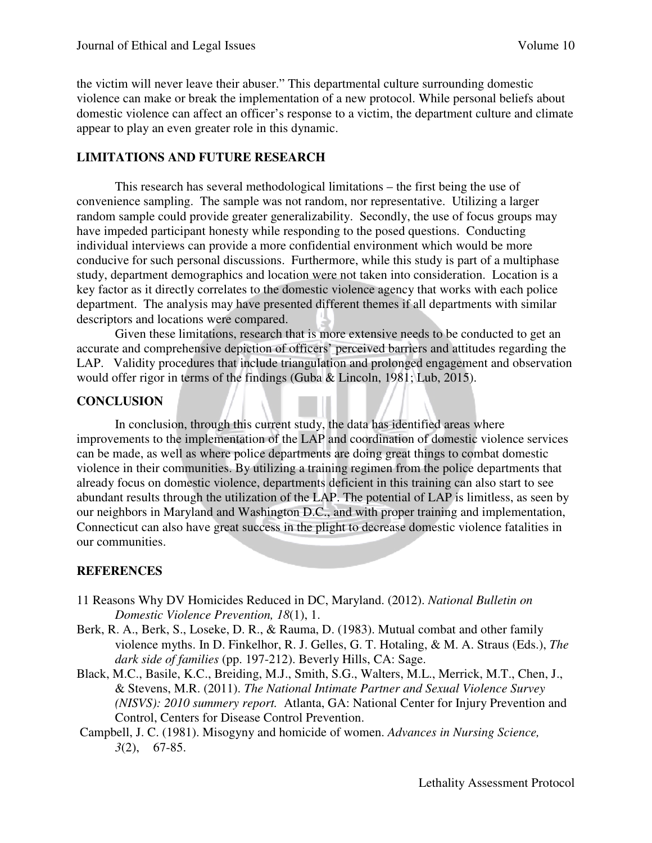the victim will never leave their abuser." This departmental culture surrounding domestic violence can make or break the implementation of a new protocol. While personal beliefs about domestic violence can affect an officer's response to a victim, the department culture and climate appear to play an even greater role in this dynamic.

#### **LIMITATIONS AND FUTURE RESEARCH**

This research has several methodological limitations – the first being the use of convenience sampling. The sample was not random, nor representative. Utilizing a larger random sample could provide greater generalizability. Secondly, the use of focus groups may have impeded participant honesty while responding to the posed questions. Conducting individual interviews can provide a more confidential environment which would be more conducive for such personal discussions. Furthermore, while this study is part of a multiphase study, department demographics and location were not taken into consideration. Location is a key factor as it directly correlates to the domestic violence agency that works with each police department. The analysis may have presented different themes if all departments with similar descriptors and locations were compared.

Given these limitations, research that is more extensive needs to be conducted to get an accurate and comprehensive depiction of officers' perceived barriers and attitudes regarding the LAP. Validity procedures that include triangulation and prolonged engagement and observation would offer rigor in terms of the findings (Guba & Lincoln, 1981; Lub, 2015).

#### **CONCLUSION**

In conclusion, through this current study, the data has identified areas where improvements to the implementation of the LAP and coordination of domestic violence services can be made, as well as where police departments are doing great things to combat domestic violence in their communities. By utilizing a training regimen from the police departments that already focus on domestic violence, departments deficient in this training can also start to see abundant results through the utilization of the LAP. The potential of LAP is limitless, as seen by our neighbors in Maryland and Washington D.C., and with proper training and implementation, Connecticut can also have great success in the plight to decrease domestic violence fatalities in our communities.

## **REFERENCES**

- 11 Reasons Why DV Homicides Reduced in DC, Maryland. (2012). *National Bulletin on Domestic Violence Prevention, 18*(1), 1.
- Berk, R. A., Berk, S., Loseke, D. R., & Rauma, D. (1983). Mutual combat and other family violence myths. In D. Finkelhor, R. J. Gelles, G. T. Hotaling, & M. A. Straus (Eds.), *The dark side of families* (pp. 197-212). Beverly Hills, CA: Sage.
- Black, M.C., Basile, K.C., Breiding, M.J., Smith, S.G., Walters, M.L., Merrick, M.T., Chen, J., & Stevens, M.R. (2011). *The National Intimate Partner and Sexual Violence Survey (NISVS): 2010 summery report.* Atlanta, GA: National Center for Injury Prevention and Control, Centers for Disease Control Prevention.
- Campbell, J. C. (1981). Misogyny and homicide of women. *Advances in Nursing Science, 3*(2), 67-85.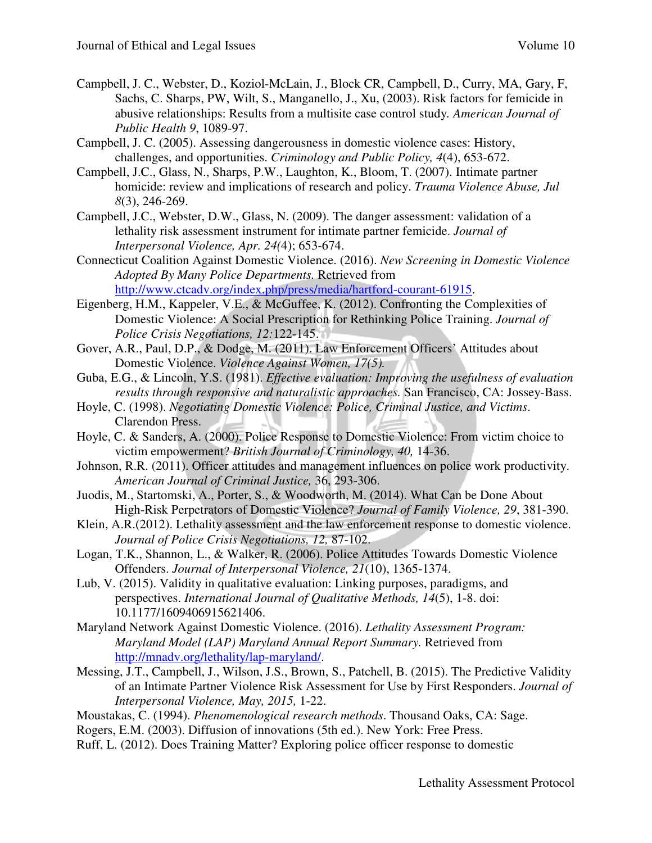- Campbell, J. C., Webster, D., Koziol-McLain, J., Block CR, Campbell, D., Curry, MA, Gary, F, Sachs, C. Sharps, PW, Wilt, S., Manganello, J., Xu, (2003). Risk factors for femicide in abusive relationships: Results from a multisite case control study*. American Journal of Public Health 9*, 1089-97.
- Campbell, J. C. (2005). Assessing dangerousness in domestic violence cases: History, challenges, and opportunities. *Criminology and Public Policy, 4*(4), 653-672.
- Campbell, J.C., Glass, N., Sharps, P.W., Laughton, K., Bloom, T. (2007). Intimate partner homicide: review and implications of research and policy. *Trauma Violence Abuse, Jul 8*(3), 246-269.
- Campbell, J.C., Webster, D.W., Glass, N. (2009). The danger assessment: validation of a lethality risk assessment instrument for intimate partner femicide. *Journal of Interpersonal Violence, Apr. 24(*4); 653-674.
- Connecticut Coalition Against Domestic Violence. (2016). *New Screening in Domestic Violence Adopted By Many Police Departments.* Retrieved from http://www.ctcadv.org/index.php/press/media/hartford-courant-61915.
- Eigenberg, H.M., Kappeler, V.E., & McGuffee, K. (2012). Confronting the Complexities of Domestic Violence: A Social Prescription for Rethinking Police Training. *Journal of Police Crisis Negotiations, 12:*122-145.
- Gover, A.R., Paul, D.P., & Dodge, M. (2011). Law Enforcement Officers' Attitudes about Domestic Violence. *Violence Against Women, 17(5).*
- Guba, E.G., & Lincoln, Y.S. (1981). *Effective evaluation: Improving the usefulness of evaluation results through responsive and naturalistic approaches.* San Francisco, CA: Jossey-Bass.
- Hoyle, C. (1998). *Negotiating Domestic Violence: Police, Criminal Justice, and Victims*. Clarendon Press.
- Hoyle, C. & Sanders, A. (2000). Police Response to Domestic Violence: From victim choice to victim empowerment? *British Journal of Criminology, 40,* 14-36.
- Johnson, R.R. (2011). Officer attitudes and management influences on police work productivity. *American Journal of Criminal Justice,* 36, 293-306.
- Juodis, M., Startomski, A., Porter, S., & Woodworth, M. (2014). What Can be Done About High-Risk Perpetrators of Domestic Violence? *Journal of Family Violence, 29*, 381-390.
- Klein, A.R.(2012). Lethality assessment and the law enforcement response to domestic violence. *Journal of Police Crisis Negotiations, 12,* 87-102.
- Logan, T.K., Shannon, L., & Walker, R. (2006). Police Attitudes Towards Domestic Violence Offenders. *Journal of Interpersonal Violence, 21*(10), 1365-1374.
- Lub, V. (2015). Validity in qualitative evaluation: Linking purposes, paradigms, and perspectives. *International Journal of Qualitative Methods, 14*(5), 1-8. doi: 10.1177/1609406915621406.
- Maryland Network Against Domestic Violence. (2016). *Lethality Assessment Program: Maryland Model (LAP) Maryland Annual Report Summary.* Retrieved from http://mnadv.org/lethality/lap-maryland/.
- Messing, J.T., Campbell, J., Wilson, J.S., Brown, S., Patchell, B. (2015). The Predictive Validity of an Intimate Partner Violence Risk Assessment for Use by First Responders. *Journal of Interpersonal Violence, May, 2015,* 1-22.
- Moustakas, C. (1994). *Phenomenological research methods*. Thousand Oaks, CA: Sage.
- Rogers, E.M. (2003). Diffusion of innovations (5th ed.). New York: Free Press.
- Ruff, L. (2012). Does Training Matter? Exploring police officer response to domestic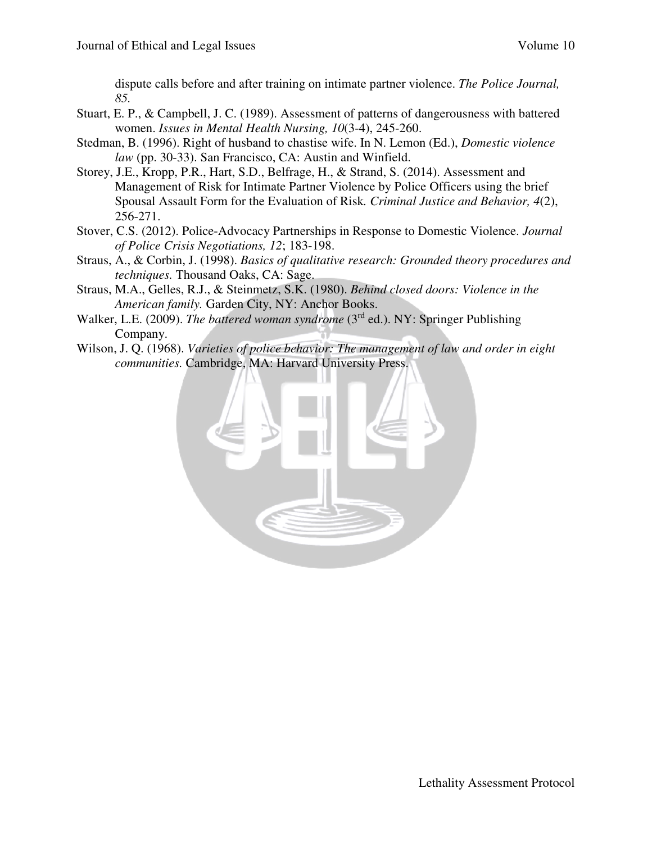dispute calls before and after training on intimate partner violence. *The Police Journal, 85.*

- Stuart, E. P., & Campbell, J. C. (1989). Assessment of patterns of dangerousness with battered women. *Issues in Mental Health Nursing, 10*(3-4), 245-260.
- Stedman, B. (1996). Right of husband to chastise wife. In N. Lemon (Ed.), *Domestic violence law* (pp. 30-33). San Francisco, CA: Austin and Winfield.
- Storey, J.E., Kropp, P.R., Hart, S.D., Belfrage, H., & Strand, S. (2014). Assessment and Management of Risk for Intimate Partner Violence by Police Officers using the brief Spousal Assault Form for the Evaluation of Risk*. Criminal Justice and Behavior, 4*(2), 256-271.
- Stover, C.S. (2012). Police-Advocacy Partnerships in Response to Domestic Violence. *Journal of Police Crisis Negotiations, 12*; 183-198.
- Straus, A., & Corbin, J. (1998). *Basics of qualitative research: Grounded theory procedures and techniques.* Thousand Oaks, CA: Sage.
- Straus, M.A., Gelles, R.J., & Steinmetz, S.K. (1980). *Behind closed doors: Violence in the American family.* Garden City, NY: Anchor Books.
- Walker, L.E. (2009). *The battered woman syndrome* (3rd ed.). NY: Springer Publishing Company.
- Wilson, J. Q. (1968). *Varieties of police behavior: The management of law and order in eight communities.* Cambridge, MA: Harvard University Press.

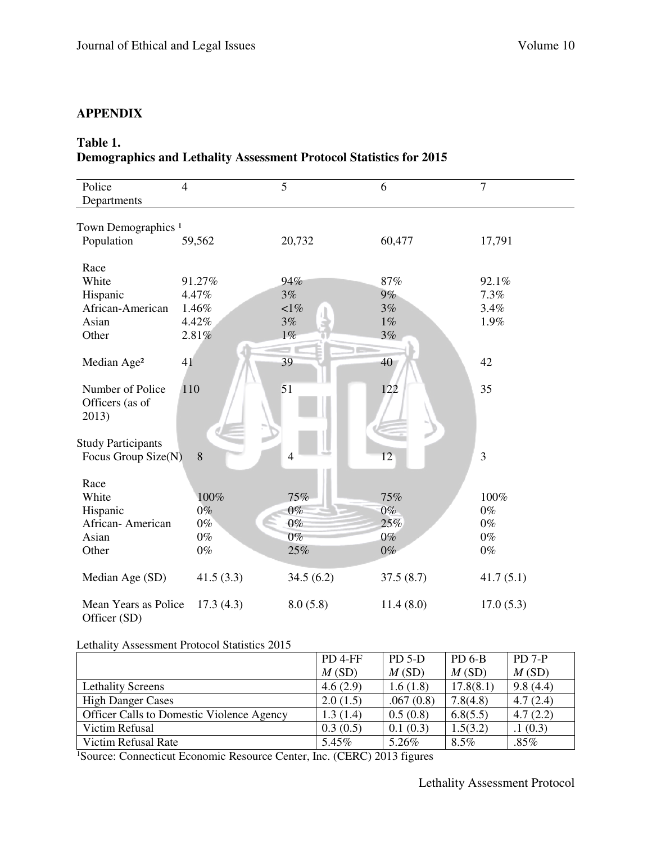## **APPENDIX**

## **Table 1.**

## **Demographics and Lethality Assessment Protocol Statistics for 2015**

| Police                         | $\overline{4}$ | $\overline{5}$ | 6         | 7         |
|--------------------------------|----------------|----------------|-----------|-----------|
| Departments                    |                |                |           |           |
|                                |                |                |           |           |
| Town Demographics <sup>1</sup> |                |                |           |           |
| Population                     | 59,562         | 20,732         | 60,477    | 17,791    |
|                                |                |                |           |           |
| Race                           |                |                |           |           |
| White                          | 91.27%         | 94%            | 87%       | 92.1%     |
| Hispanic                       | 4.47%          | 3%             | $9\%$     | 7.3%      |
| African-American               | 1.46%          | $1\%$          | 3%        | 3.4%      |
| Asian                          | 4.42%          | 3%             | $1\%$     | 1.9%      |
| Other                          | 2.81%          | $1\%$          | 3%        |           |
|                                |                |                |           |           |
| Median Age <sup>2</sup>        | 41             | 39             | 40        | 42        |
|                                |                |                |           |           |
| Number of Police               | 110            | 51             | 122       | 35        |
| Officers (as of                |                |                |           |           |
| 2013)                          |                |                |           |           |
|                                |                |                |           |           |
| <b>Study Participants</b>      |                |                |           |           |
| Focus Group Size(N)            | 8              | $\overline{4}$ | 12        | 3         |
|                                |                |                |           |           |
| Race                           |                |                |           |           |
| White                          | 100%           | 75%            | 75%       | 100%      |
| Hispanic                       | $0\%$          | $0\%$          | $0\%$     | $0\%$     |
| African-American               | $0\%$          | $0\%$          | 25%       | $0\%$     |
| Asian                          | $0\%$          | $0\%$          | $0\%$     | $0\%$     |
| Other                          | $0\%$          | 25%            | $0\%$     | $0\%$     |
|                                |                |                |           |           |
| Median Age (SD)                | 41.5(3.3)      | 34.5(6.2)      | 37.5(8.7) | 41.7(5.1) |
|                                |                |                |           |           |
| Mean Years as Police           | 17.3(4.3)      | 8.0(5.8)       | 11.4(8.0) | 17.0(5.3) |
| Officer (SD)                   |                |                |           |           |

#### Lethality Assessment Protocol Statistics 2015

|                                                  | PD <sub>4-FF</sub> | $PD 5-D$  | $PD$ 6-B  | $PD 7-P$ |
|--------------------------------------------------|--------------------|-----------|-----------|----------|
|                                                  | M(SD)              | M(SD)     | M(SD)     | M(SD)    |
| <b>Lethality Screens</b>                         | 4.6(2.9)           | 1.6(1.8)  | 17.8(8.1) | 9.8(4.4) |
| <b>High Danger Cases</b>                         | 2.0(1.5)           | .067(0.8) | 7.8(4.8)  | 4.7(2.4) |
| <b>Officer Calls to Domestic Violence Agency</b> | 1.3(1.4)           | 0.5(0.8)  | 6.8(5.5)  | 4.7(2.2) |
| Victim Refusal                                   | 0.3(0.5)           | 0.1(0.3)  | 1.5(3.2)  | .1(0.3)  |
| Victim Refusal Rate                              | 5.45%              | 5.26%     | $8.5\%$   | $.85\%$  |

1Source: Connecticut Economic Resource Center, Inc. (CERC) 2013 figures